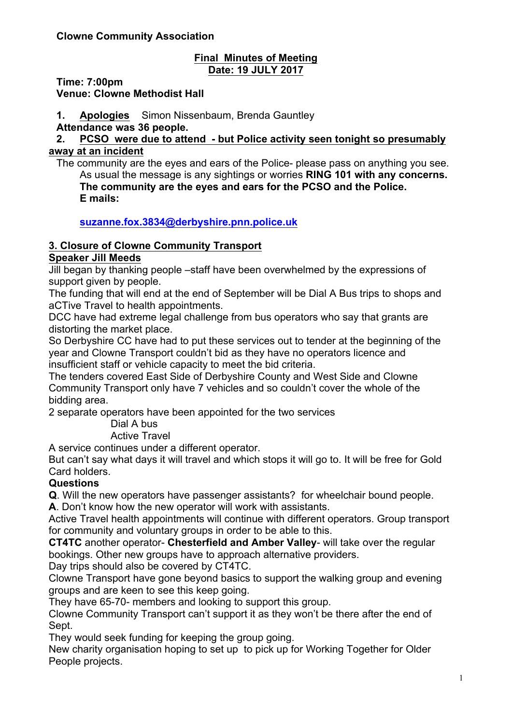#### **Final Minutes of Meeting Date: 19 JULY 2017**

**Time: 7:00pm**

**Venue: Clowne Methodist Hall**

**1. Apologies** Simon Nissenbaum, Brenda Gauntley **Attendance was 36 people.**

**2. PCSO were due to attend - but Police activity seen tonight so presumably away at an incident**

The community are the eyes and ears of the Police- please pass on anything you see. As usual the message is any sightings or worries **RING 101 with any concerns. The community are the eyes and ears for the PCSO and the Police. E mails:**

# **suzanne.fox.3834@derbyshire.pnn.police.uk**

# **3. Closure of Clowne Community Transport**

#### **Speaker Jill Meeds**

Jill began by thanking people –staff have been overwhelmed by the expressions of support given by people.

The funding that will end at the end of September will be Dial A Bus trips to shops and aCTive Travel to health appointments.

DCC have had extreme legal challenge from bus operators who say that grants are distorting the market place.

So Derbyshire CC have had to put these services out to tender at the beginning of the year and Clowne Transport couldn't bid as they have no operators licence and insufficient staff or vehicle capacity to meet the bid criteria.

The tenders covered East Side of Derbyshire County and West Side and Clowne Community Transport only have 7 vehicles and so couldn't cover the whole of the bidding area.

2 separate operators have been appointed for the two services

Dial A bus

Active Travel

A service continues under a different operator.

But can't say what days it will travel and which stops it will go to. It will be free for Gold Card holders.

## **Questions**

**Q**. Will the new operators have passenger assistants? for wheelchair bound people.

**A**. Don't know how the new operator will work with assistants.

Active Travel health appointments will continue with different operators. Group transport for community and voluntary groups in order to be able to this.

**CT4TC** another operator- **Chesterfield and Amber Valley**- will take over the regular bookings. Other new groups have to approach alternative providers.

Day trips should also be covered by CT4TC.

Clowne Transport have gone beyond basics to support the walking group and evening groups and are keen to see this keep going.

They have 65-70- members and looking to support this group.

Clowne Community Transport can't support it as they won't be there after the end of Sept.

They would seek funding for keeping the group going.

New charity organisation hoping to set up to pick up for Working Together for Older People projects.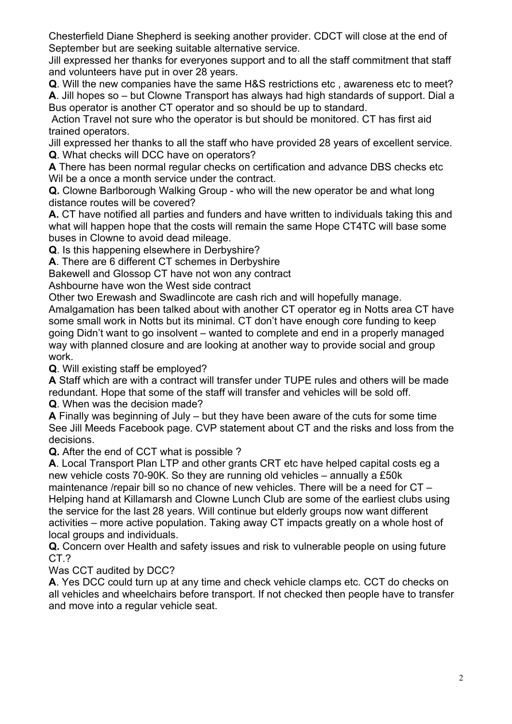Chesterfield Diane Shepherd is seeking another provider. CDCT will close at the end of September but are seeking suitable alternative service.

Jill expressed her thanks for everyones support and to all the staff commitment that staff and volunteers have put in over 28 years.

**Q**. Will the new companies have the same H&S restrictions etc , awareness etc to meet? **A**. Jill hopes so – but Clowne Transport has always had high standards of support. Dial a Bus operator is another CT operator and so should be up to standard.

Action Travel not sure who the operator is but should be monitored. CT has first aid trained operators.

Jill expressed her thanks to all the staff who have provided 28 years of excellent service. **Q**. What checks will DCC have on operators?

**A** There has been normal regular checks on certification and advance DBS checks etc Wil be a once a month service under the contract.

**Q.** Clowne Barlborough Walking Group - who will the new operator be and what long distance routes will be covered?

**A.** CT have notified all parties and funders and have written to individuals taking this and what will happen hope that the costs will remain the same Hope CT4TC will base some buses in Clowne to avoid dead mileage.

**Q**. Is this happening elsewhere in Derbyshire?

**A**. There are 6 different CT schemes in Derbyshire

Bakewell and Glossop CT have not won any contract

Ashbourne have won the West side contract

Other two Erewash and Swadlincote are cash rich and will hopefully manage.

Amalgamation has been talked about with another CT operator eg in Notts area CT have some small work in Notts but its minimal. CT don't have enough core funding to keep going Didn't want to go insolvent – wanted to complete and end in a properly managed way with planned closure and are looking at another way to provide social and group work.

**Q**. Will existing staff be employed?

**A** Staff which are with a contract will transfer under TUPE rules and others will be made redundant. Hope that some of the staff will transfer and vehicles will be sold off. **Q**. When was the decision made?

**A** Finally was beginning of July – but they have been aware of the cuts for some time See Jill Meeds Facebook page. CVP statement about CT and the risks and loss from the decisions.

**Q.** After the end of CCT what is possible ?

**A**. Local Transport Plan LTP and other grants CRT etc have helped capital costs eg a new vehicle costs 70-90K. So they are running old vehicles – annually a £50k maintenance /repair bill so no chance of new vehicles. There will be a need for CT – Helping hand at Killamarsh and Clowne Lunch Club are some of the earliest clubs using the service for the last 28 years. Will continue but elderly groups now want different activities – more active population. Taking away CT impacts greatly on a whole host of local groups and individuals.

**Q.** Concern over Health and safety issues and risk to vulnerable people on using future CT.?

Was CCT audited by DCC?

**A**. Yes DCC could turn up at any time and check vehicle clamps etc. CCT do checks on all vehicles and wheelchairs before transport. If not checked then people have to transfer and move into a regular vehicle seat.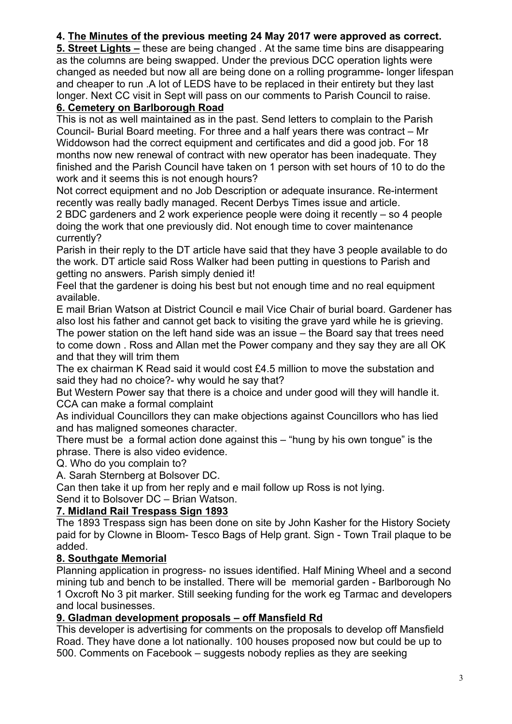# **4. The Minutes of the previous meeting 24 May 2017 were approved as correct.**

**5. Street Lights –** these are being changed . At the same time bins are disappearing as the columns are being swapped. Under the previous DCC operation lights were changed as needed but now all are being done on a rolling programme- longer lifespan and cheaper to run .A lot of LEDS have to be replaced in their entirety but they last longer. Next CC visit in Sept will pass on our comments to Parish Council to raise.

## **6. Cemetery on Barlborough Road**

This is not as well maintained as in the past. Send letters to complain to the Parish Council- Burial Board meeting. For three and a half years there was contract – Mr Widdowson had the correct equipment and certificates and did a good job. For 18 months now new renewal of contract with new operator has been inadequate. They finished and the Parish Council have taken on 1 person with set hours of 10 to do the work and it seems this is not enough hours?

Not correct equipment and no Job Description or adequate insurance. Re-interment recently was really badly managed. Recent Derbys Times issue and article.

2 BDC gardeners and 2 work experience people were doing it recently – so 4 people doing the work that one previously did. Not enough time to cover maintenance currently?

Parish in their reply to the DT article have said that they have 3 people available to do the work. DT article said Ross Walker had been putting in questions to Parish and getting no answers. Parish simply denied it!

Feel that the gardener is doing his best but not enough time and no real equipment available.

E mail Brian Watson at District Council e mail Vice Chair of burial board. Gardener has also lost his father and cannot get back to visiting the grave yard while he is grieving. The power station on the left hand side was an issue – the Board say that trees need to come down . Ross and Allan met the Power company and they say they are all OK and that they will trim them

The ex chairman K Read said it would cost £4.5 million to move the substation and said they had no choice?- why would he say that?

But Western Power say that there is a choice and under good will they will handle it. CCA can make a formal complaint

As individual Councillors they can make objections against Councillors who has lied and has maligned someones character.

There must be a formal action done against this – "hung by his own tongue" is the phrase. There is also video evidence.

Q. Who do you complain to?

A. Sarah Sternberg at Bolsover DC.

Can then take it up from her reply and e mail follow up Ross is not lying.

Send it to Bolsover DC – Brian Watson.

## **7. Midland Rail Trespass Sign 1893**

The 1893 Trespass sign has been done on site by John Kasher for the History Society paid for by Clowne in Bloom- Tesco Bags of Help grant. Sign - Town Trail plaque to be added.

## **8. Southgate Memorial**

Planning application in progress- no issues identified. Half Mining Wheel and a second mining tub and bench to be installed. There will be memorial garden - Barlborough No 1 Oxcroft No 3 pit marker. Still seeking funding for the work eg Tarmac and developers and local businesses.

## **9. Gladman development proposals – off Mansfield Rd**

This developer is advertising for comments on the proposals to develop off Mansfield Road. They have done a lot nationally. 100 houses proposed now but could be up to 500. Comments on Facebook – suggests nobody replies as they are seeking